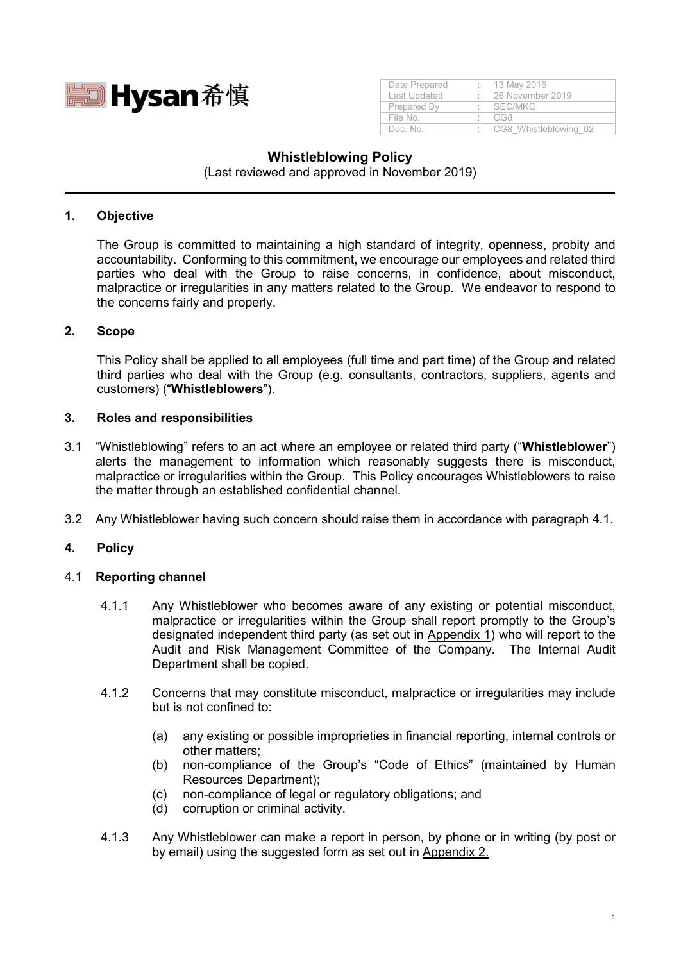

| Date Prepared | 13 May 2016           |
|---------------|-----------------------|
| Last Updated  | 26 November 2019      |
| Prepared By   | SEC/MKC               |
| File No       | C.G.8                 |
| Doc No        | CG8 Whistleblowing 02 |

# **Whistleblowing Policy**

(Last reviewed and approved in November 2019)

#### **1. Objective**

The Group is committed to maintaining a high standard of integrity, openness, probity and accountability. Conforming to this commitment, we encourage our employees and related third parties who deal with the Group to raise concerns, in confidence, about misconduct, malpractice or irregularities in any matters related to the Group. We endeavor to respond to the concerns fairly and properly.

#### **2. Scope**

This Policy shall be applied to all employees (full time and part time) of the Group and related third parties who deal with the Group (e.g. consultants, contractors, suppliers, agents and customers) ("**Whistleblowers**").

#### **3. Roles and responsibilities**

- 3.1 "Whistleblowing" refers to an act where an employee or related third party ("**Whistleblower**") alerts the management to information which reasonably suggests there is misconduct, malpractice or irregularities within the Group. This Policy encourages Whistleblowers to raise the matter through an established confidential channel.
- 3.2 Any Whistleblower having such concern should raise them in accordance with paragraph 4.1.

## **4. Policy**

#### 4.1 **Reporting channel**

- 4.1.1 Any Whistleblower who becomes aware of any existing or potential misconduct, malpractice or irregularities within the Group shall report promptly to the Group's designated independent third party (as set out in Appendix 1) who will report to the Audit and Risk Management Committee of the Company. The Internal Audit Department shall be copied.
- 4.1.2 Concerns that may constitute misconduct, malpractice or irregularities may include but is not confined to:
	- (a) any existing or possible improprieties in financial reporting, internal controls or other matters;
	- (b) non-compliance of the Group's "Code of Ethics" (maintained by Human Resources Department);
	- (c) non-compliance of legal or regulatory obligations; and
	- (d) corruption or criminal activity.
- 4.1.3 Any Whistleblower can make a report in person, by phone or in writing (by post or by email) using the suggested form as set out in Appendix 2.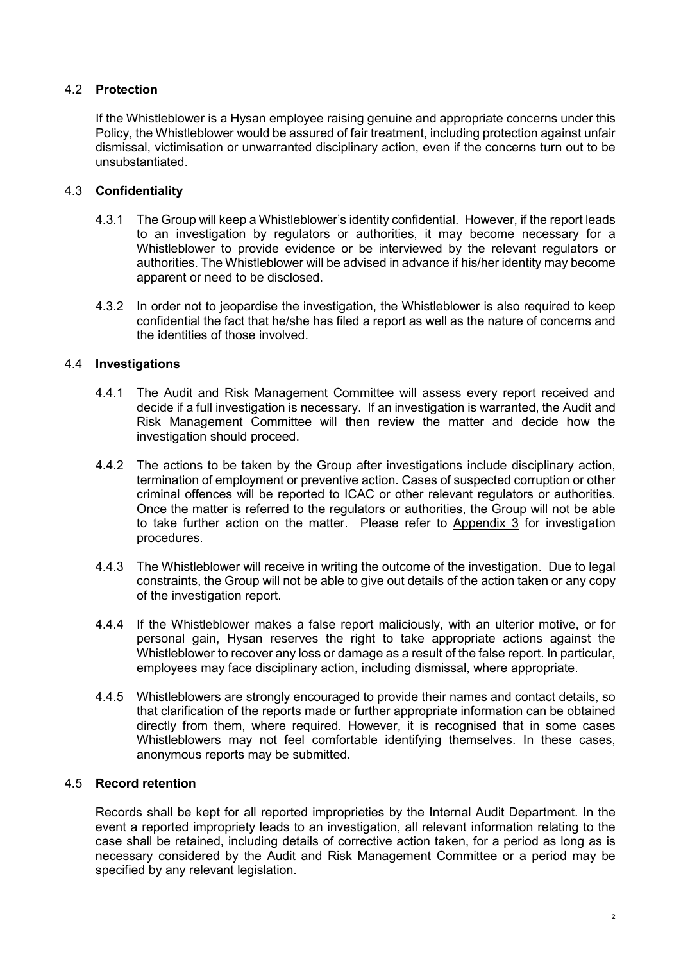## 4.2 **Protection**

If the Whistleblower is a Hysan employee raising genuine and appropriate concerns under this Policy, the Whistleblower would be assured of fair treatment, including protection against unfair dismissal, victimisation or unwarranted disciplinary action, even if the concerns turn out to be unsubstantiated.

## 4.3 **Confidentiality**

- 4.3.1 The Group will keep a Whistleblower's identity confidential. However, if the report leads to an investigation by regulators or authorities, it may become necessary for a Whistleblower to provide evidence or be interviewed by the relevant regulators or authorities. The Whistleblower will be advised in advance if his/her identity may become apparent or need to be disclosed.
- 4.3.2 In order not to jeopardise the investigation, the Whistleblower is also required to keep confidential the fact that he/she has filed a report as well as the nature of concerns and the identities of those involved.

## 4.4 **Investigations**

- 4.4.1 The Audit and Risk Management Committee will assess every report received and decide if a full investigation is necessary. If an investigation is warranted, the Audit and Risk Management Committee will then review the matter and decide how the investigation should proceed.
- 4.4.2 The actions to be taken by the Group after investigations include disciplinary action, termination of employment or preventive action. Cases of suspected corruption or other criminal offences will be reported to ICAC or other relevant regulators or authorities. Once the matter is referred to the regulators or authorities, the Group will not be able to take further action on the matter. Please refer to Appendix 3 for investigation procedures.
- 4.4.3 The Whistleblower will receive in writing the outcome of the investigation. Due to legal constraints, the Group will not be able to give out details of the action taken or any copy of the investigation report.
- 4.4.4 If the Whistleblower makes a false report maliciously, with an ulterior motive, or for personal gain, Hysan reserves the right to take appropriate actions against the Whistleblower to recover any loss or damage as a result of the false report. In particular, employees may face disciplinary action, including dismissal, where appropriate.
- 4.4.5 Whistleblowers are strongly encouraged to provide their names and contact details, so that clarification of the reports made or further appropriate information can be obtained directly from them, where required. However, it is recognised that in some cases Whistleblowers may not feel comfortable identifying themselves. In these cases, anonymous reports may be submitted.

## 4.5 **Record retention**

Records shall be kept for all reported improprieties by the Internal Audit Department. In the event a reported impropriety leads to an investigation, all relevant information relating to the case shall be retained, including details of corrective action taken, for a period as long as is necessary considered by the Audit and Risk Management Committee or a period may be specified by any relevant legislation.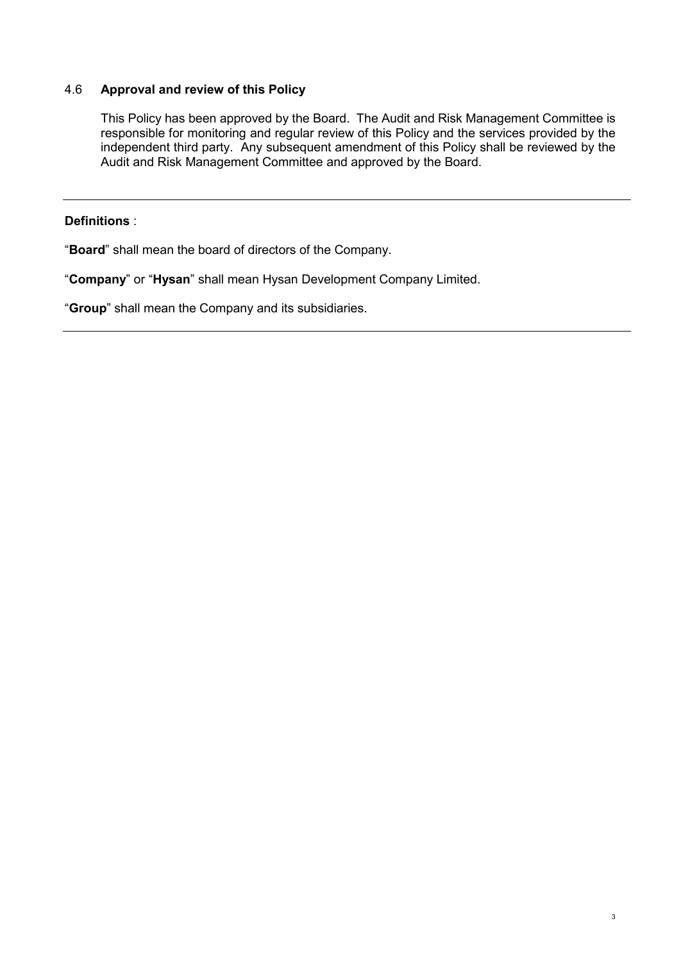## 4.6 **Approval and review of this Policy**

This Policy has been approved by the Board. The Audit and Risk Management Committee is responsible for monitoring and regular review of this Policy and the services provided by the independent third party. Any subsequent amendment of this Policy shall be reviewed by the Audit and Risk Management Committee and approved by the Board.

# **Definitions** :

"**Board**" shall mean the board of directors of the Company.

"**Company**" or "**Hysan**" shall mean Hysan Development Company Limited.

"**Group**" shall mean the Company and its subsidiaries.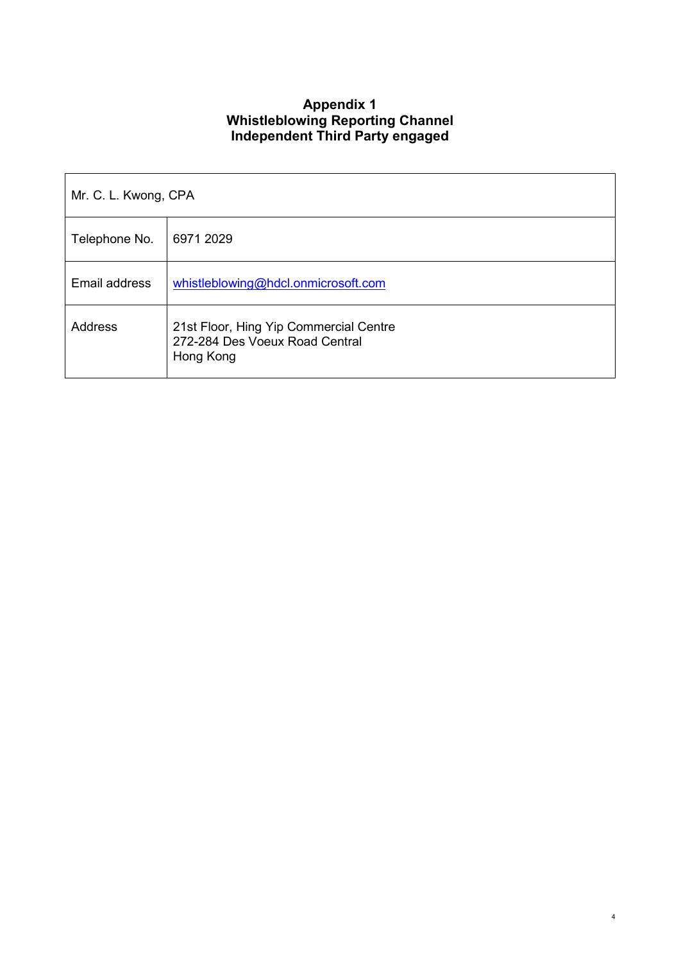# **Appendix 1 Whistleblowing Reporting Channel Independent Third Party engaged**

| Mr. C. L. Kwong, CPA |                                                                                       |  |
|----------------------|---------------------------------------------------------------------------------------|--|
| Telephone No.        | 6971 2029                                                                             |  |
| Email address        | whistleblowing@hdcl.onmicrosoft.com                                                   |  |
| Address              | 21st Floor, Hing Yip Commercial Centre<br>272-284 Des Voeux Road Central<br>Hong Kong |  |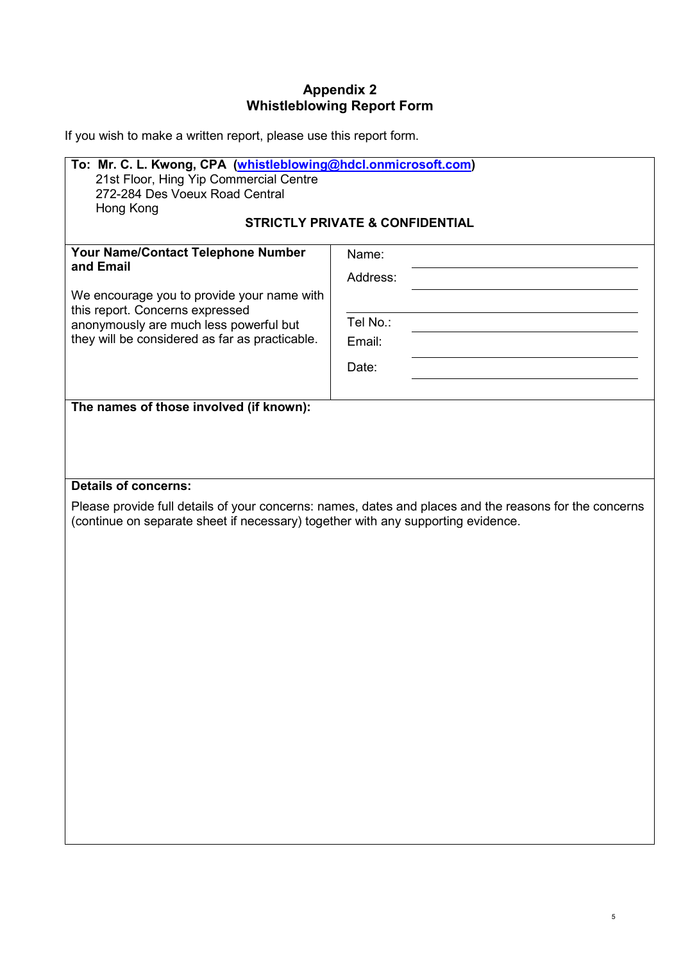# **Appendix 2 Whistleblowing Report Form**

If you wish to make a written report, please use this report form.

| To: Mr. C. L. Kwong, CPA (whistleblowing@hdcl.onmicrosoft.com)<br>21st Floor, Hing Yip Commercial Centre<br>272-284 Des Voeux Road Central<br>Hong Kong                                                                      |                                                                                                        |  |  |  |
|------------------------------------------------------------------------------------------------------------------------------------------------------------------------------------------------------------------------------|--------------------------------------------------------------------------------------------------------|--|--|--|
| <b>STRICTLY PRIVATE &amp; CONFIDENTIAL</b>                                                                                                                                                                                   |                                                                                                        |  |  |  |
| Your Name/Contact Telephone Number<br>and Email<br>We encourage you to provide your name with<br>this report. Concerns expressed<br>anonymously are much less powerful but<br>they will be considered as far as practicable. | Name:<br>Address:<br>Tel No.:<br>Email:<br>Date:                                                       |  |  |  |
| The names of those involved (if known):                                                                                                                                                                                      |                                                                                                        |  |  |  |
| <b>Details of concerns:</b><br>(continue on separate sheet if necessary) together with any supporting evidence.                                                                                                              | Please provide full details of your concerns: names, dates and places and the reasons for the concerns |  |  |  |